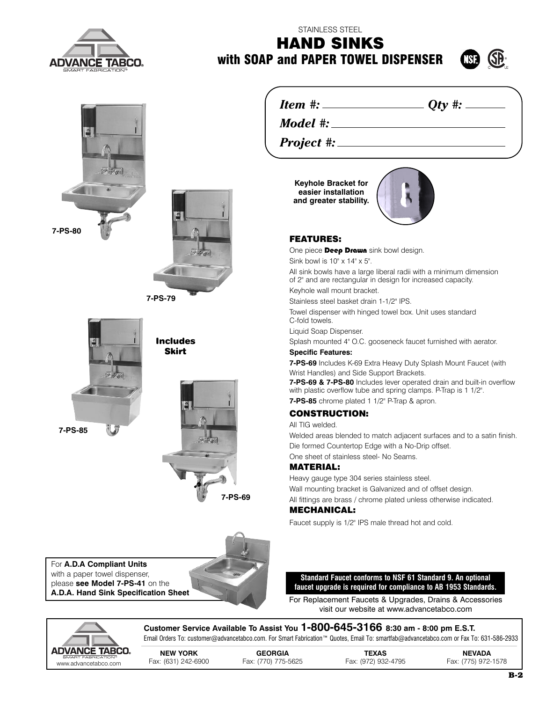

## STAINLESS STEEL **HAND SINKS with SOAP and PAPER TOWEL DISPENSER**